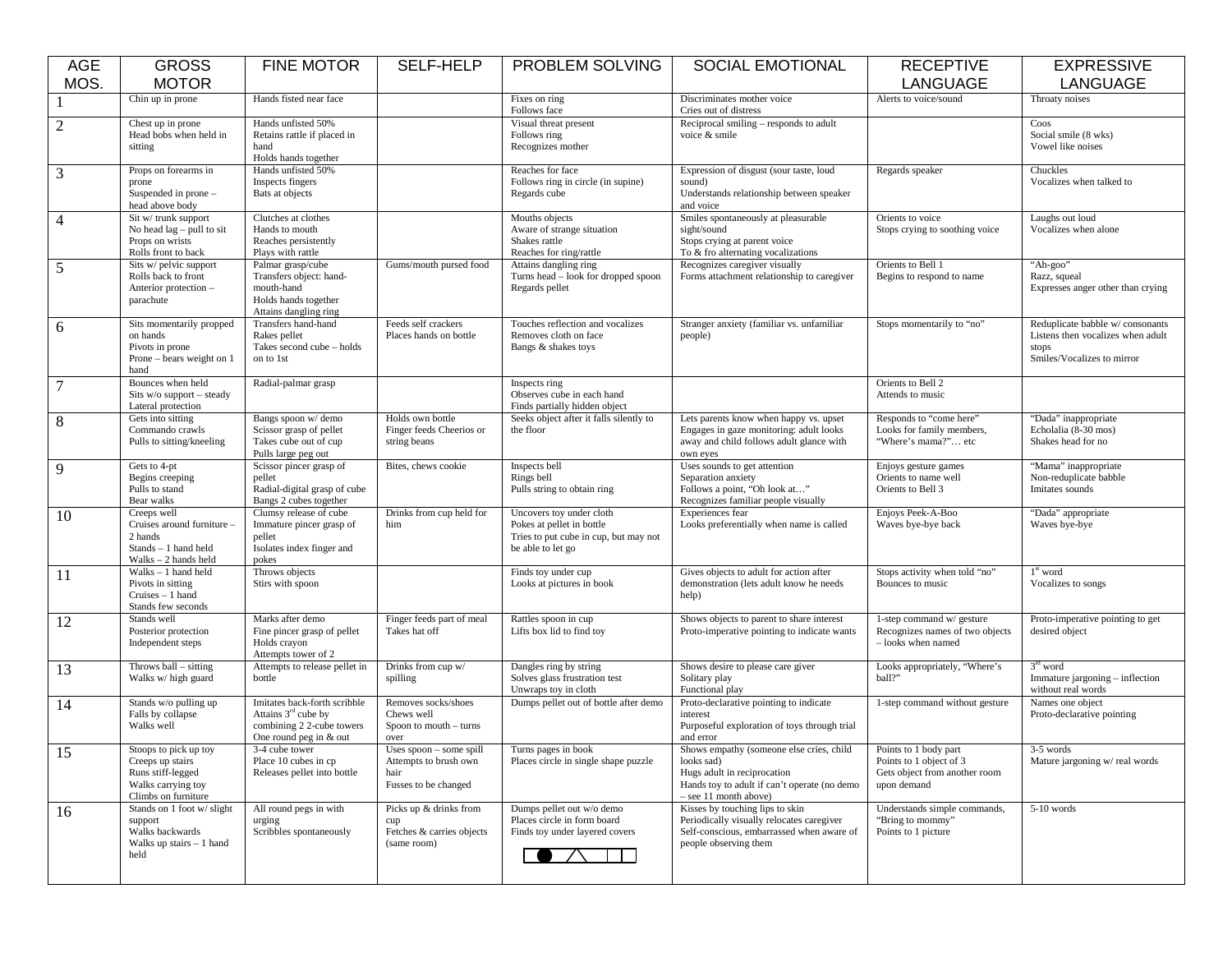| <b>AGE</b>     | <b>GROSS</b>                                                                                                | <b>FINE MOTOR</b>                                                                                            | SELF-HELP                                                                          | PROBLEM SOLVING                                                                                                     | <b>SOCIAL EMOTIONAL</b>                                                                                                                                        | <b>RECEPTIVE</b>                                                                                 | <b>EXPRESSIVE</b>                                                                                           |
|----------------|-------------------------------------------------------------------------------------------------------------|--------------------------------------------------------------------------------------------------------------|------------------------------------------------------------------------------------|---------------------------------------------------------------------------------------------------------------------|----------------------------------------------------------------------------------------------------------------------------------------------------------------|--------------------------------------------------------------------------------------------------|-------------------------------------------------------------------------------------------------------------|
| MOS.           | <b>MOTOR</b>                                                                                                |                                                                                                              |                                                                                    |                                                                                                                     |                                                                                                                                                                | LANGUAGE                                                                                         | LANGUAGE                                                                                                    |
|                | Chin up in prone                                                                                            | Hands fisted near face                                                                                       |                                                                                    | Fixes on ring<br>Follows face                                                                                       | Discriminates mother voice<br>Cries out of distress                                                                                                            | Alerts to voice/sound                                                                            | Throaty noises                                                                                              |
| $\mathfrak{2}$ | Chest up in prone<br>Head bobs when held in<br>sitting                                                      | Hands unfisted 50%<br>Retains rattle if placed in<br>hand<br>Holds hands together                            |                                                                                    | Visual threat present<br>Follows ring<br>Recognizes mother                                                          | Reciprocal smiling – responds to adult<br>voice & smile                                                                                                        |                                                                                                  | Coos<br>Social smile (8 wks)<br>Vowel like noises                                                           |
| 3              | Props on forearms in<br>prone<br>Suspended in prone -<br>head above body                                    | Hands unfisted 50%<br>Inspects fingers<br>Bats at objects                                                    |                                                                                    | Reaches for face<br>Follows ring in circle (in supine)<br>Regards cube                                              | Expression of disgust (sour taste, loud<br>sound)<br>Understands relationship between speaker<br>and voice                                                     | Regards speaker                                                                                  | Chuckles<br>Vocalizes when talked to                                                                        |
| $\overline{4}$ | Sit w/ trunk support<br>No head $lag$ – pull to sit<br>Props on wrists<br>Rolls front to back               | Clutches at clothes<br>Hands to mouth<br>Reaches persistently<br>Plays with rattle                           |                                                                                    | Mouths objects<br>Aware of strange situation<br>Shakes rattle<br>Reaches for ring/rattle                            | Smiles spontaneously at pleasurable<br>sight/sound<br>Stops crying at parent voice<br>To & fro alternating vocalizations                                       | Orients to voice<br>Stops crying to soothing voice                                               | Laughs out loud<br>Vocalizes when alone                                                                     |
| 5              | Sits w/ pelvic support<br>Rolls back to front<br>Anterior protection -<br>parachute                         | Palmar grasp/cube<br>Transfers object: hand-<br>mouth-hand<br>Holds hands together<br>Attains dangling ring  | Gums/mouth pursed food                                                             | Attains dangling ring<br>Turns head - look for dropped spoon<br>Regards pellet                                      | Recognizes caregiver visually<br>Forms attachment relationship to caregiver                                                                                    | Orients to Bell 1<br>Begins to respond to name                                                   | "Ah-goo"<br>Razz, squeal<br>Expresses anger other than crying                                               |
| 6              | Sits momentarily propped<br>on hands<br>Pivots in prone<br>Prone – bears weight on 1<br>hand                | Transfers hand-hand<br>Rakes pellet<br>Takes second cube - holds<br>on to 1st                                | Feeds self crackers<br>Places hands on bottle                                      | Touches reflection and vocalizes<br>Removes cloth on face<br>Bangs & shakes toys                                    | Stranger anxiety (familiar vs. unfamiliar<br>people)                                                                                                           | Stops momentarily to "no"                                                                        | Reduplicate babble w/consonants<br>Listens then vocalizes when adult<br>stops<br>Smiles/Vocalizes to mirror |
| $\tau$         | Bounces when held<br>Sits $w/o$ support – steady<br>Lateral protection                                      | Radial-palmar grasp                                                                                          |                                                                                    | Inspects ring<br>Observes cube in each hand<br>Finds partially hidden object                                        |                                                                                                                                                                | Orients to Bell 2<br>Attends to music                                                            |                                                                                                             |
| $\,8\,$        | Gets into sitting<br>Commando crawls<br>Pulls to sitting/kneeling                                           | Bangs spoon w/ demo<br>Scissor grasp of pellet<br>Takes cube out of cup<br>Pulls large peg out               | Holds own bottle<br>Finger feeds Cheerios or<br>string beans                       | Seeks object after it falls silently to<br>the floor                                                                | Lets parents know when happy vs. upset<br>Engages in gaze monitoring: adult looks<br>away and child follows adult glance with<br>own eyes                      | Responds to "come here"<br>Looks for family members,<br>"Where's mama?" etc                      | "Dada" inappropriate<br>Echolalia (8-30 mos)<br>Shakes head for no                                          |
| 9              | Gets to 4-pt<br>Begins creeping<br>Pulls to stand<br>Bear walks                                             | Scissor pincer grasp of<br>pellet<br>Radial-digital grasp of cube<br>Bangs 2 cubes together                  | Bites, chews cookie                                                                | Inspects bell<br>Rings bell<br>Pulls string to obtain ring                                                          | Uses sounds to get attention<br>Separation anxiety<br>Follows a point, "Oh look at"<br>Recognizes familiar people visually                                     | Enjoys gesture games<br>Orients to name well<br>Orients to Bell 3                                | "Mama" inappropriate<br>Non-reduplicate babble<br>Imitates sounds                                           |
| 10             | Creeps well<br>Cruises around furniture<br>2 hands<br>Stands - 1 hand held<br>$Walks - 2$ hands held        | Clumsy release of cube<br>Immature pincer grasp of<br>pellet<br>Isolates index finger and<br>pokes           | Drinks from cup held for<br>him                                                    | Uncovers toy under cloth<br>Pokes at pellet in bottle<br>Tries to put cube in cup, but may not<br>be able to let go | Experiences fear<br>Looks preferentially when name is called                                                                                                   | Enjoys Peek-A-Boo<br>Waves bye-bye back                                                          | "Dada" appropriate<br>Waves bye-bye                                                                         |
| <sup>11</sup>  | $Walks - 1$ hand held<br>Pivots in sitting<br>Cruises - 1 hand<br>Stands few seconds                        | Throws objects<br>Stirs with spoon                                                                           |                                                                                    | Finds toy under cup<br>Looks at pictures in book                                                                    | Gives objects to adult for action after<br>demonstration (lets adult know he needs<br>help)                                                                    | Stops activity when told "no"<br>Bounces to music                                                | $1^{\rm st}$ word<br>Vocalizes to songs                                                                     |
| 12             | Stands well<br>Posterior protection<br>Independent steps                                                    | Marks after demo<br>Fine pincer grasp of pellet<br>Holds crayon<br>Attempts tower of 2                       | Finger feeds part of meal<br>Takes hat off                                         | Rattles spoon in cup<br>Lifts box lid to find toy                                                                   | Shows objects to parent to share interest<br>Proto-imperative pointing to indicate wants                                                                       | 1-step command w/ gesture<br>Recognizes names of two objects<br>- looks when named               | Proto-imperative pointing to get<br>desired object                                                          |
| 13             | Throws $ball - sitting$<br>Walks w/ high guard                                                              | Attempts to release pellet in<br>bottle                                                                      | Drinks from cup w/<br>spilling                                                     | Dangles ring by string<br>Solves glass frustration test<br>Unwraps toy in cloth                                     | Shows desire to please care giver<br>Solitary play<br>Functional play                                                                                          | Looks appropriately, "Where's<br>ball?"                                                          | $3rd$ word<br>Immature jargoning - inflection<br>without real words                                         |
| 14             | Stands w/o pulling up<br>Falls by collapse<br>Walks well                                                    | Imitates back-forth scribble<br>Attains $3rd$ cube by<br>combining 2 2-cube towers<br>One round peg in & out | Removes socks/shoes<br>Chews well<br>Spoon to mouth – turns<br>over                | Dumps pellet out of bottle after demo                                                                               | Proto-declarative pointing to indicate<br>interest<br>Purposeful exploration of toys through trial<br>and error                                                | 1-step command without gesture                                                                   | Names one object<br>Proto-declarative pointing                                                              |
| 15             | Stoops to pick up toy<br>Creeps up stairs<br>Runs stiff-legged<br>Walks carrying toy<br>Climbs on furniture | 3-4 cube tower<br>Place 10 cubes in cp<br>Releases pellet into bottle                                        | Uses $spoon - some spill$<br>Attempts to brush own<br>hair<br>Fusses to be changed | Turns pages in book<br>Places circle in single shape puzzle                                                         | Shows empathy (someone else cries, child<br>looks sad)<br>Hugs adult in reciprocation<br>Hands toy to adult if can't operate (no demo<br>- see 11 month above) | Points to 1 body part<br>Points to 1 object of 3<br>Gets object from another room<br>upon demand | 3-5 words<br>Mature jargoning w/real words                                                                  |
| 16             | Stands on 1 foot w/ slight<br>support<br>Walks backwards<br>Walks up stairs $-1$ hand<br>held               | All round pegs in with<br>urging<br>Scribbles spontaneously                                                  | Picks up & drinks from<br>cup<br>Fetches & carries objects<br>(same room)          | Dumps pellet out w/o demo<br>Places circle in form board<br>Finds toy under layered covers                          | Kisses by touching lips to skin<br>Periodically visually relocates caregiver<br>Self-conscious, embarrassed when aware of<br>people observing them             | Understands simple commands,<br>"Bring to mommy"<br>Points to 1 picture                          | $5-10$ words                                                                                                |